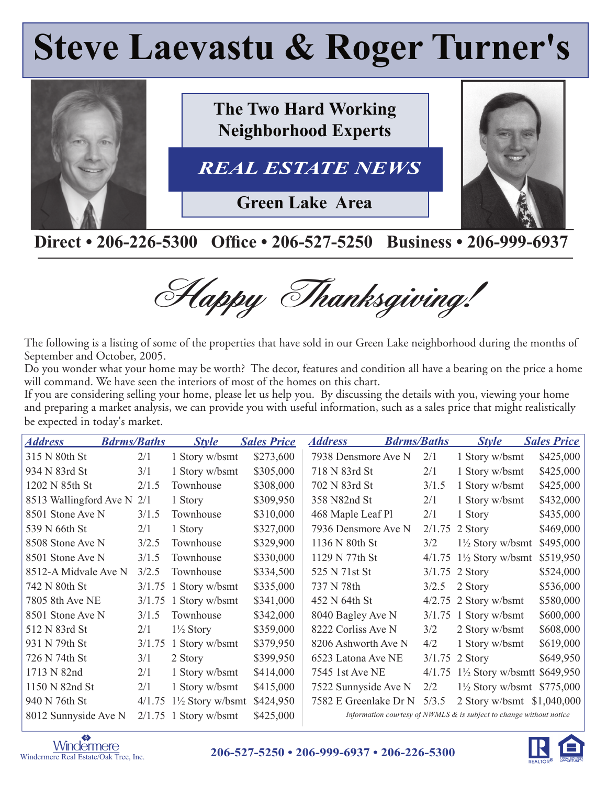# **Steve Laevastu & Roger Turner's**



### Direct • 206-226-5300 Office • 206-527-5250 Business • 206-999-6937

Happy Thanksgiving!

The following is a listing of some of the properties that have sold in our Green Lake neighborhood during the months of September and October, 2005.

Do you wonder what your home may be worth? The decor, features and condition all have a bearing on the price a home will command. We have seen the interiors of most of the homes on this chart.

If you are considering selling your home, please let us help you. By discussing the details with you, viewing your home and preparing a market analysis, we can provide you with useful information, such as a sales price that might realistically be expected in today's market.

| <b>Address</b>             | <b>Bdrms/Baths</b> |        | <b>Style</b>                | <b>Sales Price</b> | <b>Address</b>        | <b>Bdrms/Baths</b> |        | <b>Style</b>                                                           | <b>Sales Price</b> |
|----------------------------|--------------------|--------|-----------------------------|--------------------|-----------------------|--------------------|--------|------------------------------------------------------------------------|--------------------|
| 315 N 80th St              |                    | 2/1    | 1 Story w/bsmt              | \$273,600          | 7938 Densmore Ave N   |                    | 2/1    | 1 Story w/bsmt                                                         | \$425,000          |
| 934 N 83rd St              |                    | 3/1    | 1 Story w/bsmt              | \$305,000          | 718 N 83rd St         |                    | 2/1    | 1 Story w/bsmt                                                         | \$425,000          |
| 1202 N 85th St             |                    | 2/1.5  | Townhouse                   | \$308,000          | 702 N 83rd St         |                    | 3/1.5  | 1 Story w/bsmt                                                         | \$425,000          |
| 8513 Wallingford Ave N 2/1 |                    |        | 1 Story                     | \$309,950          | 358 N82nd St          |                    | 2/1    | 1 Story w/bsmt                                                         | \$432,000          |
| 8501 Stone Ave N           |                    | 3/1.5  | Townhouse                   | \$310,000          | 468 Maple Leaf Pl     |                    | 2/1    | 1 Story                                                                | \$435,000          |
| 539 N 66th St              |                    | 2/1    | 1 Story                     | \$327,000          | 7936 Densmore Ave N   |                    | 2/1.75 | 2 Story                                                                | \$469,000          |
| 8508 Stone Ave N           |                    | 3/2.5  | Townhouse                   | \$329,900          | 1136 N 80th St        |                    | 3/2    | $1\frac{1}{2}$ Story w/bsmt                                            | \$495,000          |
| 8501 Stone Ave N           |                    | 3/1.5  | Townhouse                   | \$330,000          | 1129 N 77th St        |                    | 4/1.75 | $1\frac{1}{2}$ Story w/bsmt                                            | \$519,950          |
| 8512-A Midvale Ave N       |                    | 3/2.5  | Townhouse                   | \$334,500          | 525 N 71st St         |                    |        | $3/1.75$ 2 Story                                                       | \$524,000          |
| 742 N 80th St              |                    | 3/1.75 | 1 Story w/bsmt              | \$335,000          | 737 N 78th            |                    | 3/2.5  | 2 Story                                                                | \$536,000          |
| 7805 8th Ave NE            |                    |        | $3/1.75$ 1 Story w/bsmt     | \$341,000          | 452 N 64th St         |                    |        | $4/2.75$ 2 Story w/bsmt                                                | \$580,000          |
| 8501 Stone Ave N           |                    | 3/1.5  | Townhouse                   | \$342,000          | 8040 Bagley Ave N     |                    |        | $3/1.75$ 1 Story w/bsmt                                                | \$600,000          |
| 512 N 83rd St              |                    | 2/1    | $1\frac{1}{2}$ Story        | \$359,000          | 8222 Corliss Ave N    |                    | 3/2    | 2 Story w/bsmt                                                         | \$608,000          |
| 931 N 79th St              |                    | 3/1.75 | 1 Story w/bsmt              | \$379,950          | 8206 Ashworth Ave N   |                    | 4/2    | 1 Story w/bsmt                                                         | \$619,000          |
| 726 N 74th St              |                    | 3/1    | 2 Story                     | \$399,950          | 6523 Latona Ave NE    |                    | 3/1.75 | 2 Story                                                                | \$649,950          |
| 1713 N 82nd                |                    | 2/1    | 1 Story w/bsmt              | \$414,000          | 7545 1st Ave NE       |                    | 4/1.75 | $1\frac{1}{2}$ Story w/bsmtt \$649,950                                 |                    |
| 1150 N 82nd St             |                    | 2/1    | 1 Story w/bsmt              | \$415,000          | 7522 Sunnyside Ave N  |                    | 2/2    | $1\frac{1}{2}$ Story w/bsmt \$775,000                                  |                    |
| 940 N 76th St              |                    | 4/1.75 | $1\frac{1}{2}$ Story w/bsmt | \$424,950          | 7582 E Greenlake Dr N |                    | 5/3.5  | 2 Story w/bsmt \$1,040,000                                             |                    |
| 8012 Sunnyside Ave N       |                    |        | $2/1.75$ 1 Story w/bsmt     | \$425,000          |                       |                    |        | Information courtesy of NWMLS $\&$ is subject to change without notice |                    |